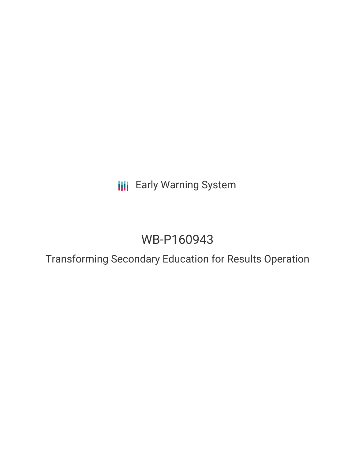**III** Early Warning System

# WB-P160943

Transforming Secondary Education for Results Operation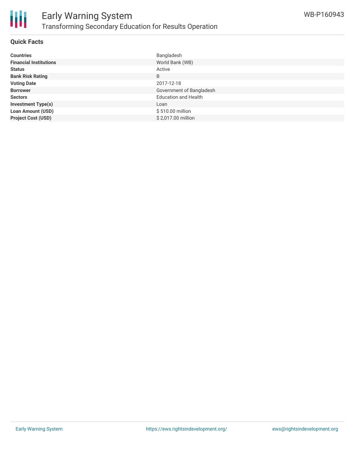

### **Quick Facts**

| <b>Countries</b>              | Bangladesh                  |
|-------------------------------|-----------------------------|
| <b>Financial Institutions</b> | World Bank (WB)             |
| <b>Status</b>                 | Active                      |
| <b>Bank Risk Rating</b>       | B                           |
| <b>Voting Date</b>            | 2017-12-18                  |
| <b>Borrower</b>               | Government of Bangladesh    |
| <b>Sectors</b>                | <b>Education and Health</b> |
| <b>Investment Type(s)</b>     | Loan                        |
| <b>Loan Amount (USD)</b>      | \$510.00 million            |
| <b>Project Cost (USD)</b>     | \$2,017.00 million          |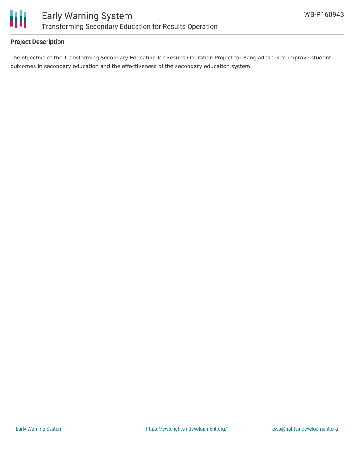

# **Project Description**

The objective of the Transforming Secondary Education for Results Operation Project for Bangladesh is to improve student outcomes in secondary education and the effectiveness of the secondary education system.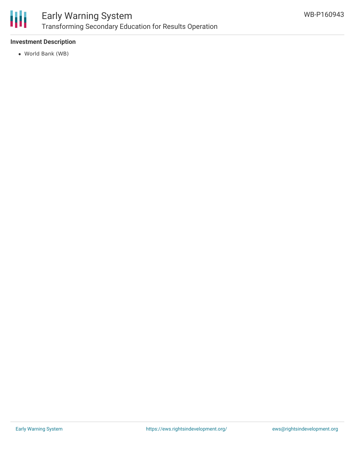

# **Investment Description**

World Bank (WB)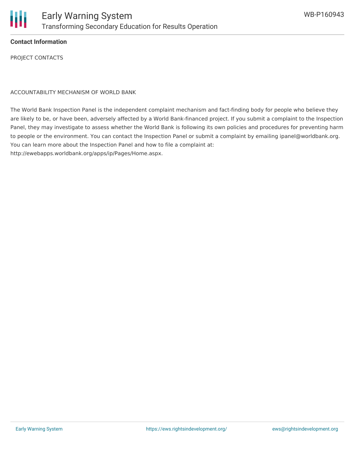

### **Contact Information**

PROJECT CONTACTS

ACCOUNTABILITY MECHANISM OF WORLD BANK

The World Bank Inspection Panel is the independent complaint mechanism and fact-finding body for people who believe they are likely to be, or have been, adversely affected by a World Bank-financed project. If you submit a complaint to the Inspection Panel, they may investigate to assess whether the World Bank is following its own policies and procedures for preventing harm to people or the environment. You can contact the Inspection Panel or submit a complaint by emailing ipanel@worldbank.org. You can learn more about the Inspection Panel and how to file a complaint at: http://ewebapps.worldbank.org/apps/ip/Pages/Home.aspx.